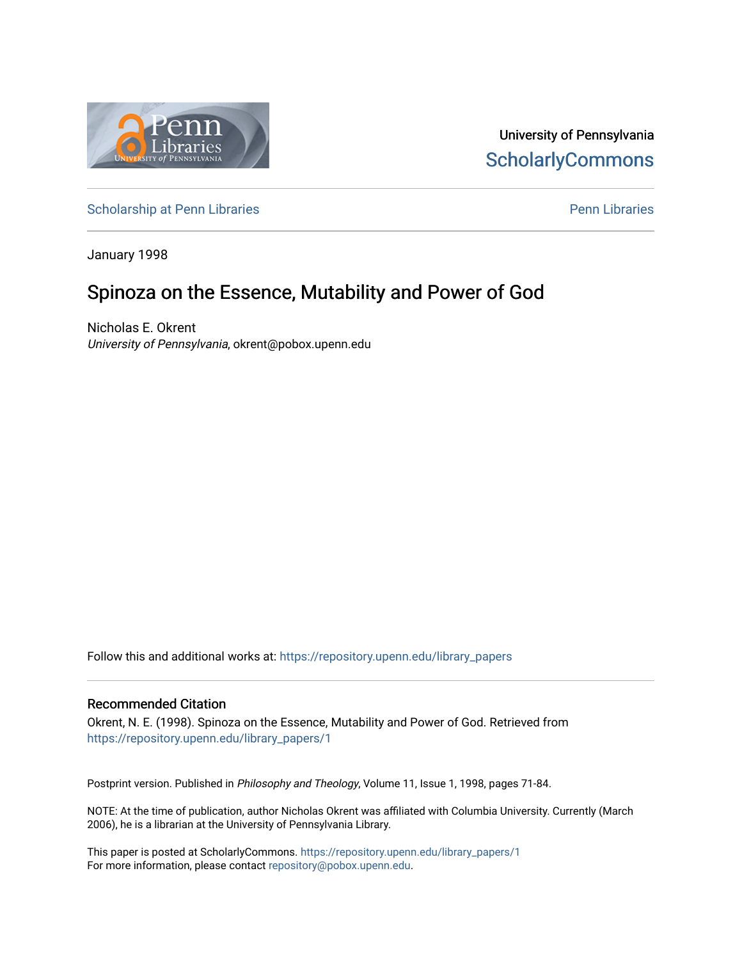

University of Pennsylvania **ScholarlyCommons** 

[Scholarship at Penn Libraries](https://repository.upenn.edu/library_papers) **Pennists** Scholarship at [Penn Libraries](https://repository.upenn.edu/library) **Pennists** Pennists Pennists Pennists Pennists

January 1998

# Spinoza on the Essence, Mutability and Power of God

Nicholas E. Okrent University of Pennsylvania, okrent@pobox.upenn.edu

Follow this and additional works at: [https://repository.upenn.edu/library\\_papers](https://repository.upenn.edu/library_papers?utm_source=repository.upenn.edu%2Flibrary_papers%2F1&utm_medium=PDF&utm_campaign=PDFCoverPages) 

#### Recommended Citation

Okrent, N. E. (1998). Spinoza on the Essence, Mutability and Power of God. Retrieved from [https://repository.upenn.edu/library\\_papers/1](https://repository.upenn.edu/library_papers/1?utm_source=repository.upenn.edu%2Flibrary_papers%2F1&utm_medium=PDF&utm_campaign=PDFCoverPages) 

Postprint version. Published in Philosophy and Theology, Volume 11, Issue 1, 1998, pages 71-84.

NOTE: At the time of publication, author Nicholas Okrent was affiliated with Columbia University. Currently (March 2006), he is a librarian at the University of Pennsylvania Library.

This paper is posted at ScholarlyCommons. [https://repository.upenn.edu/library\\_papers/1](https://repository.upenn.edu/library_papers/1)  For more information, please contact [repository@pobox.upenn.edu.](mailto:repository@pobox.upenn.edu)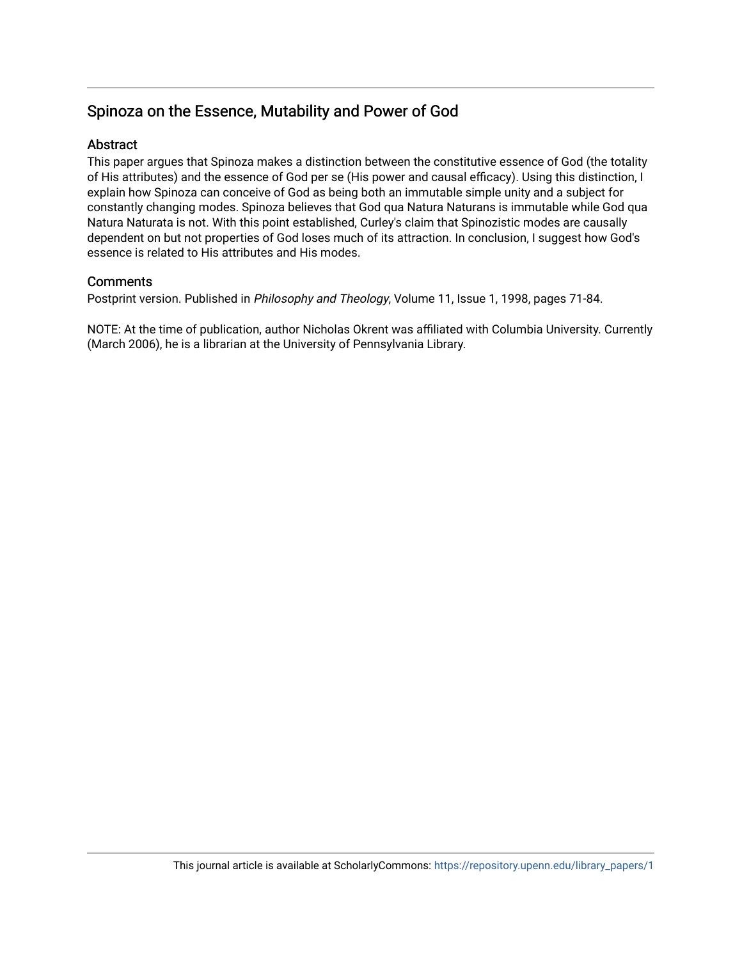## Spinoza on the Essence, Mutability and Power of God

## **Abstract**

This paper argues that Spinoza makes a distinction between the constitutive essence of God (the totality of His attributes) and the essence of God per se (His power and causal efficacy). Using this distinction, I explain how Spinoza can conceive of God as being both an immutable simple unity and a subject for constantly changing modes. Spinoza believes that God qua Natura Naturans is immutable while God qua Natura Naturata is not. With this point established, Curley's claim that Spinozistic modes are causally dependent on but not properties of God loses much of its attraction. In conclusion, I suggest how God's essence is related to His attributes and His modes.

## **Comments**

Postprint version. Published in Philosophy and Theology, Volume 11, Issue 1, 1998, pages 71-84.

NOTE: At the time of publication, author Nicholas Okrent was affiliated with Columbia University. Currently (March 2006), he is a librarian at the University of Pennsylvania Library.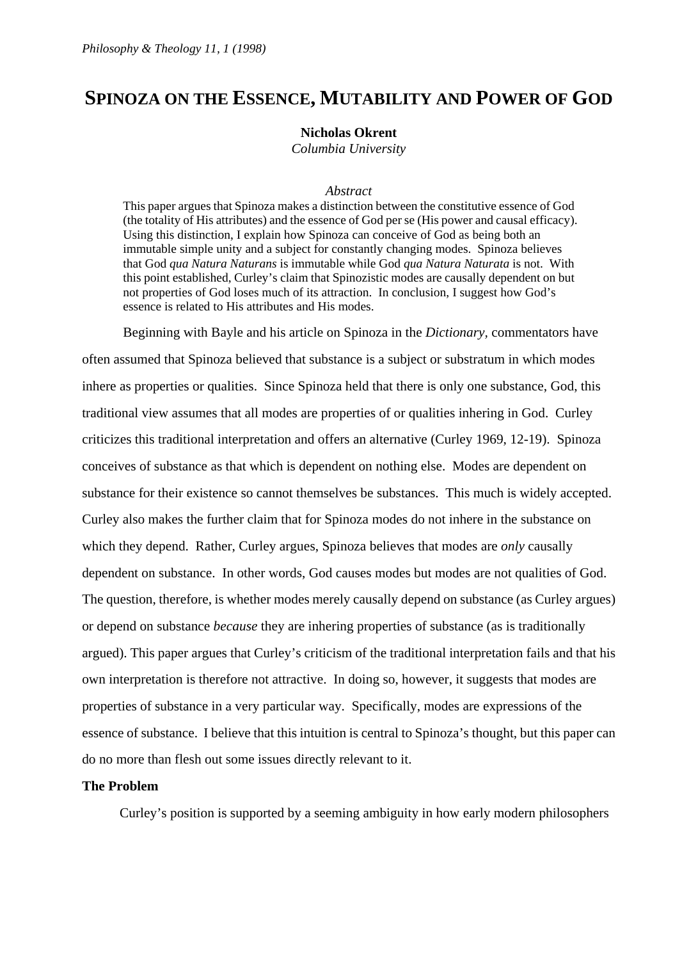## **SPINOZA ON THE ESSENCE, MUTABILITY AND POWER OF GOD**

### **Nicholas Okrent**

*Columbia University* 

#### *Abstract*

This paper argues that Spinoza makes a distinction between the constitutive essence of God (the totality of His attributes) and the essence of God per se (His power and causal efficacy). Using this distinction, I explain how Spinoza can conceive of God as being both an immutable simple unity and a subject for constantly changing modes. Spinoza believes that God *qua Natura Naturans* is immutable while God *qua Natura Naturata* is not. With this point established, Curley's claim that Spinozistic modes are causally dependent on but not properties of God loses much of its attraction. In conclusion, I suggest how God's essence is related to His attributes and His modes.

Beginning with Bayle and his article on Spinoza in the *Dictionary,* commentators have often assumed that Spinoza believed that substance is a subject or substratum in which modes inhere as properties or qualities. Since Spinoza held that there is only one substance, God, this traditional view assumes that all modes are properties of or qualities inhering in God. Curley criticizes this traditional interpretation and offers an alternative (Curley 1969, 12-19). Spinoza conceives of substance as that which is dependent on nothing else. Modes are dependent on substance for their existence so cannot themselves be substances. This much is widely accepted. Curley also makes the further claim that for Spinoza modes do not inhere in the substance on which they depend. Rather, Curley argues, Spinoza believes that modes are *only* causally dependent on substance. In other words, God causes modes but modes are not qualities of God. The question, therefore, is whether modes merely causally depend on substance (as Curley argues) or depend on substance *because* they are inhering properties of substance (as is traditionally argued). This paper argues that Curley's criticism of the traditional interpretation fails and that his own interpretation is therefore not attractive. In doing so, however, it suggests that modes are properties of substance in a very particular way. Specifically, modes are expressions of the essence of substance. I believe that this intuition is central to Spinoza's thought, but this paper can do no more than flesh out some issues directly relevant to it.

## **The Problem**

Curley's position is supported by a seeming ambiguity in how early modern philosophers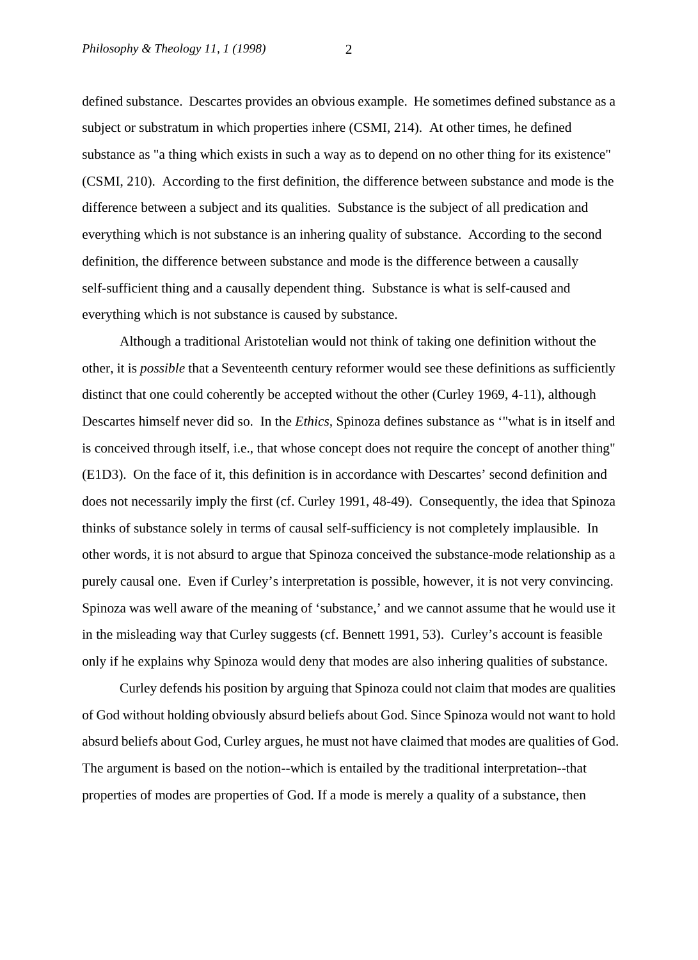defined substance. Descartes provides an obvious example. He sometimes defined substance as a subject or substratum in which properties inhere (CSMI, 214). At other times, he defined substance as "a thing which exists in such a way as to depend on no other thing for its existence" (CSMI, 210). According to the first definition, the difference between substance and mode is the difference between a subject and its qualities. Substance is the subject of all predication and everything which is not substance is an inhering quality of substance. According to the second definition, the difference between substance and mode is the difference between a causally self-sufficient thing and a causally dependent thing. Substance is what is self-caused and everything which is not substance is caused by substance.

 Although a traditional Aristotelian would not think of taking one definition without the other, it is *possible* that a Seventeenth century reformer would see these definitions as sufficiently distinct that one could coherently be accepted without the other (Curley 1969, 4-11), although Descartes himself never did so. In the *Ethics,* Spinoza defines substance as '"what is in itself and is conceived through itself, i.e., that whose concept does not require the concept of another thing" (E1D3). On the face of it, this definition is in accordance with Descartes' second definition and does not necessarily imply the first (cf. Curley 1991, 48-49). Consequently, the idea that Spinoza thinks of substance solely in terms of causal self-sufficiency is not completely implausible. In other words, it is not absurd to argue that Spinoza conceived the substance-mode relationship as a purely causal one. Even if Curley's interpretation is possible, however, it is not very convincing. Spinoza was well aware of the meaning of 'substance,' and we cannot assume that he would use it in the misleading way that Curley suggests (cf. Bennett 1991, 53). Curley's account is feasible only if he explains why Spinoza would deny that modes are also inhering qualities of substance.

 Curley defends his position by arguing that Spinoza could not claim that modes are qualities of God without holding obviously absurd beliefs about God. Since Spinoza would not want to hold absurd beliefs about God, Curley argues, he must not have claimed that modes are qualities of God. The argument is based on the notion--which is entailed by the traditional interpretation--that properties of modes are properties of God. If a mode is merely a quality of a substance, then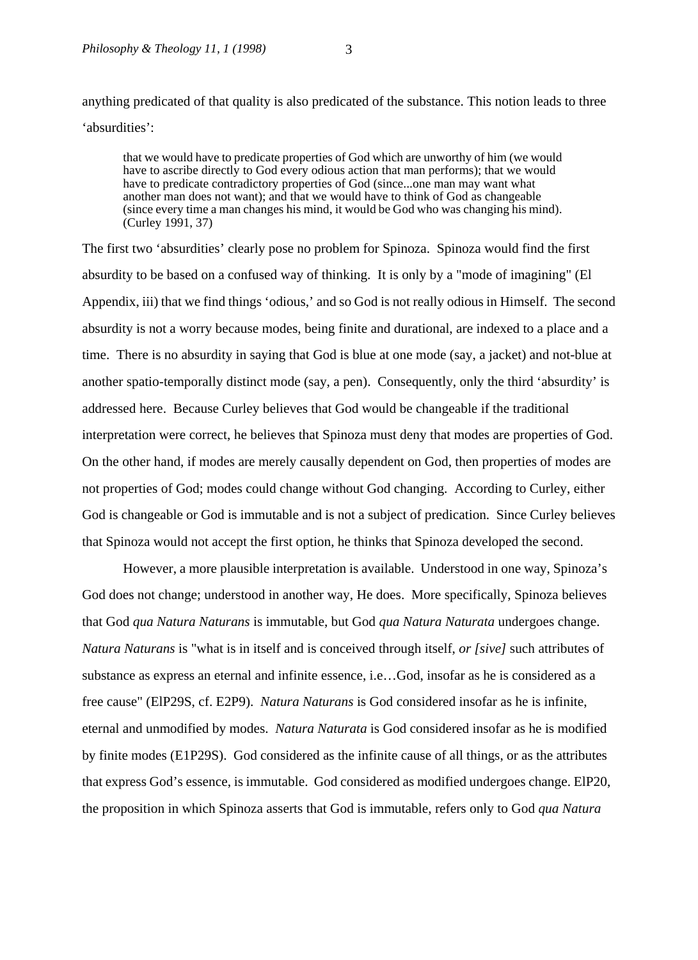anything predicated of that quality is also predicated of the substance. This notion leads to three 'absurdities':

that we would have to predicate properties of God which are unworthy of him (we would have to ascribe directly to God every odious action that man performs); that we would have to predicate contradictory properties of God (since...one man may want what another man does not want); and that we would have to think of God as changeable (since every time a man changes his mind, it would be God who was changing his mind). (Curley 1991, 37)

The first two 'absurdities' clearly pose no problem for Spinoza. Spinoza would find the first absurdity to be based on a confused way of thinking. It is only by a "mode of imagining" (El Appendix, iii) that we find things 'odious,' and so God is not really odious in Himself. The second absurdity is not a worry because modes, being finite and durational, are indexed to a place and a time. There is no absurdity in saying that God is blue at one mode (say, a jacket) and not-blue at another spatio-temporally distinct mode (say, a pen). Consequently, only the third 'absurdity' is addressed here. Because Curley believes that God would be changeable if the traditional interpretation were correct, he believes that Spinoza must deny that modes are properties of God. On the other hand, if modes are merely causally dependent on God, then properties of modes are not properties of God; modes could change without God changing. According to Curley, either God is changeable or God is immutable and is not a subject of predication. Since Curley believes that Spinoza would not accept the first option, he thinks that Spinoza developed the second.

However, a more plausible interpretation is available. Understood in one way, Spinoza's God does not change; understood in another way, He does. More specifically, Spinoza believes that God *qua Natura Naturans* is immutable, but God *qua Natura Naturata* undergoes change. *Natura Naturans* is "what is in itself and is conceived through itself, *or [sive]* such attributes of substance as express an eternal and infinite essence, i.e…God, insofar as he is considered as a free cause" (ElP29S, cf. E2P9). *Natura Naturans* is God considered insofar as he is infinite, eternal and unmodified by modes. *Natura Naturata* is God considered insofar as he is modified by finite modes (E1P29S). God considered as the infinite cause of all things, or as the attributes that express God's essence, is immutable. God considered as modified undergoes change. ElP20, the proposition in which Spinoza asserts that God is immutable, refers only to God *qua Natura*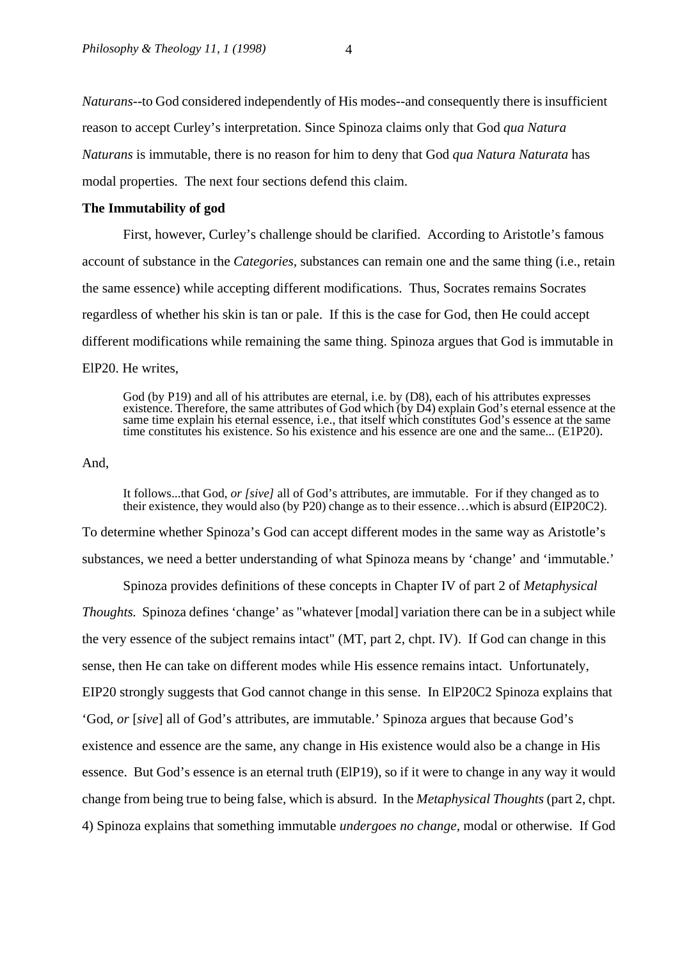*Naturans*--to God considered independently of His modes--and consequently there is insufficient reason to accept Curley's interpretation. Since Spinoza claims only that God *qua Natura Naturans* is immutable, there is no reason for him to deny that God *qua Natura Naturata* has modal properties. The next four sections defend this claim.

### **The Immutability of god**

First, however, Curley's challenge should be clarified. According to Aristotle's famous account of substance in the *Categories,* substances can remain one and the same thing (i.e., retain the same essence) while accepting different modifications. Thus, Socrates remains Socrates regardless of whether his skin is tan or pale. If this is the case for God, then He could accept different modifications while remaining the same thing. Spinoza argues that God is immutable in ElP20. He writes,

God (by P19) and all of his attributes are eternal, i.e. by (D8), each of his attributes expresses existence. Therefore, the same attributes of God which (by D4) explain God's eternal essence at the same time explain his eternal essence, i.e., that itself which constitutes God's essence at the same time constitutes his existence. So his existence and his essence are one and the same... (E1P20).

And,

It follows...that God, *or [sive]* all of God's attributes, are immutable. For if they changed as to their existence, they would also (by P20) change as to their essence…which is absurd (EIP20C2).

To determine whether Spinoza's God can accept different modes in the same way as Aristotle's substances, we need a better understanding of what Spinoza means by 'change' and 'immutable.'

Spinoza provides definitions of these concepts in Chapter IV of part 2 of *Metaphysical Thoughts.* Spinoza defines 'change' as "whatever [modal] variation there can be in a subject while the very essence of the subject remains intact" (MT, part 2, chpt. IV). If God can change in this sense, then He can take on different modes while His essence remains intact. Unfortunately, EIP20 strongly suggests that God cannot change in this sense. In ElP20C2 Spinoza explains that 'God, *or* [*sive*] all of God's attributes, are immutable.' Spinoza argues that because God's existence and essence are the same, any change in His existence would also be a change in His essence. But God's essence is an eternal truth (ElP19), so if it were to change in any way it would change from being true to being false, which is absurd. In the *Metaphysical Thoughts* (part 2, chpt. 4) Spinoza explains that something immutable *undergoes no change,* modal or otherwise. If God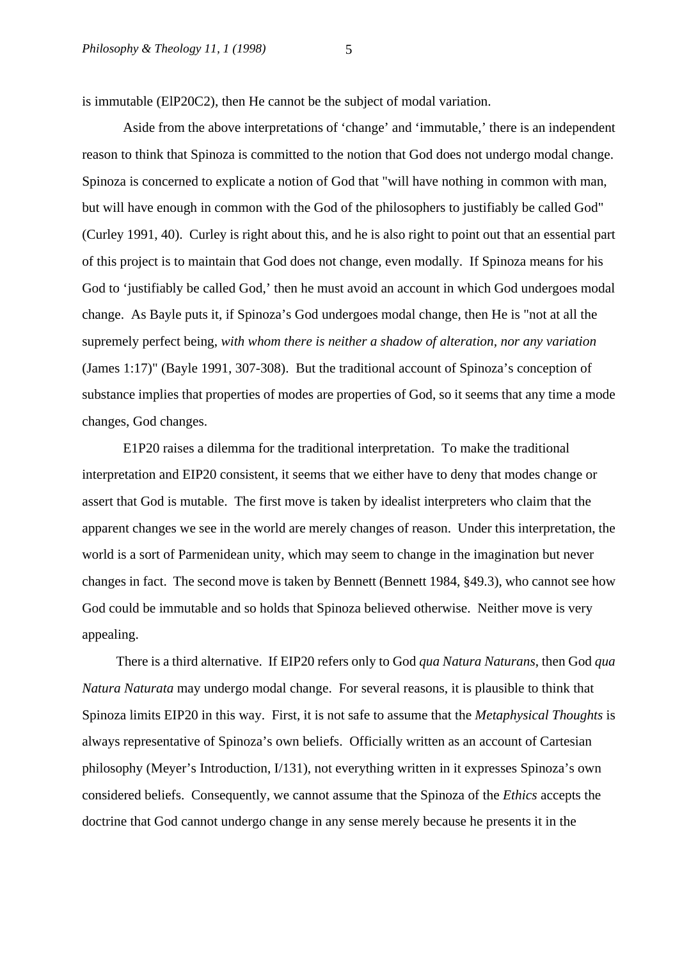is immutable (ElP20C2), then He cannot be the subject of modal variation.

Aside from the above interpretations of 'change' and 'immutable,' there is an independent reason to think that Spinoza is committed to the notion that God does not undergo modal change. Spinoza is concerned to explicate a notion of God that "will have nothing in common with man, but will have enough in common with the God of the philosophers to justifiably be called God" (Curley 1991, 40). Curley is right about this, and he is also right to point out that an essential part of this project is to maintain that God does not change, even modally. If Spinoza means for his God to 'justifiably be called God,' then he must avoid an account in which God undergoes modal change. As Bayle puts it, if Spinoza's God undergoes modal change, then He is "not at all the supremely perfect being, *with whom there is neither a shadow of alteration, nor any variation*  (James 1:17)" (Bayle 1991, 307-308). But the traditional account of Spinoza's conception of substance implies that properties of modes are properties of God, so it seems that any time a mode changes, God changes.

E1P20 raises a dilemma for the traditional interpretation. To make the traditional interpretation and EIP20 consistent, it seems that we either have to deny that modes change or assert that God is mutable. The first move is taken by idealist interpreters who claim that the apparent changes we see in the world are merely changes of reason. Under this interpretation, the world is a sort of Parmenidean unity, which may seem to change in the imagination but never changes in fact. The second move is taken by Bennett (Bennett 1984, §49.3), who cannot see how God could be immutable and so holds that Spinoza believed otherwise. Neither move is very appealing.

 There is a third alternative. If EIP20 refers only to God *qua Natura Naturans*, then God *qua Natura Naturata* may undergo modal change. For several reasons, it is plausible to think that Spinoza limits EIP20 in this way. First, it is not safe to assume that the *Metaphysical Thoughts* is always representative of Spinoza's own beliefs. Officially written as an account of Cartesian philosophy (Meyer's Introduction, I/131), not everything written in it expresses Spinoza's own considered beliefs. Consequently, we cannot assume that the Spinoza of the *Ethics* accepts the doctrine that God cannot undergo change in any sense merely because he presents it in the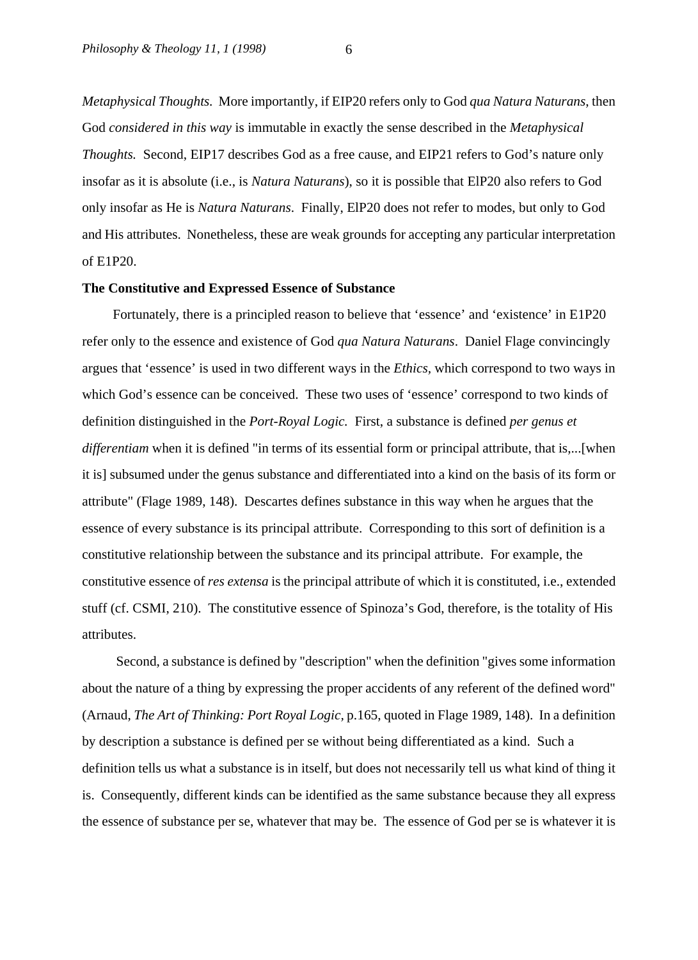*Metaphysical Thoughts.* More importantly, if EIP20 refers only to God *qua Natura Naturans*, then God *considered in this way* is immutable in exactly the sense described in the *Metaphysical Thoughts.* Second, EIP17 describes God as a free cause, and EIP21 refers to God's nature only insofar as it is absolute (i.e., is *Natura Naturans*), so it is possible that ElP20 also refers to God only insofar as He is *Natura Naturans*. Finally, ElP20 does not refer to modes, but only to God and His attributes. Nonetheless, these are weak grounds for accepting any particular interpretation of E1P20.

#### **The Constitutive and Expressed Essence of Substance**

Fortunately, there is a principled reason to believe that 'essence' and 'existence' in E1P20 refer only to the essence and existence of God *qua Natura Naturans*. Daniel Flage convincingly argues that 'essence' is used in two different ways in the *Ethics,* which correspond to two ways in which God's essence can be conceived. These two uses of 'essence' correspond to two kinds of definition distinguished in the *Port-Royal Logic.* First, a substance is defined *per genus et differentiam* when it is defined "in terms of its essential form or principal attribute, that is,...[when it is] subsumed under the genus substance and differentiated into a kind on the basis of its form or attribute" (Flage 1989, 148). Descartes defines substance in this way when he argues that the essence of every substance is its principal attribute. Corresponding to this sort of definition is a constitutive relationship between the substance and its principal attribute. For example, the constitutive essence of *res extensa* is the principal attribute of which it is constituted, i.e., extended stuff (cf. CSMI, 210). The constitutive essence of Spinoza's God, therefore, is the totality of His attributes.

 Second, a substance is defined by "description" when the definition "gives some information about the nature of a thing by expressing the proper accidents of any referent of the defined word" (Arnaud, *The Art of Thinking: Port Royal Logic,* p.165, quoted in Flage 1989, 148). In a definition by description a substance is defined per se without being differentiated as a kind. Such a definition tells us what a substance is in itself, but does not necessarily tell us what kind of thing it is. Consequently, different kinds can be identified as the same substance because they all express the essence of substance per se, whatever that may be. The essence of God per se is whatever it is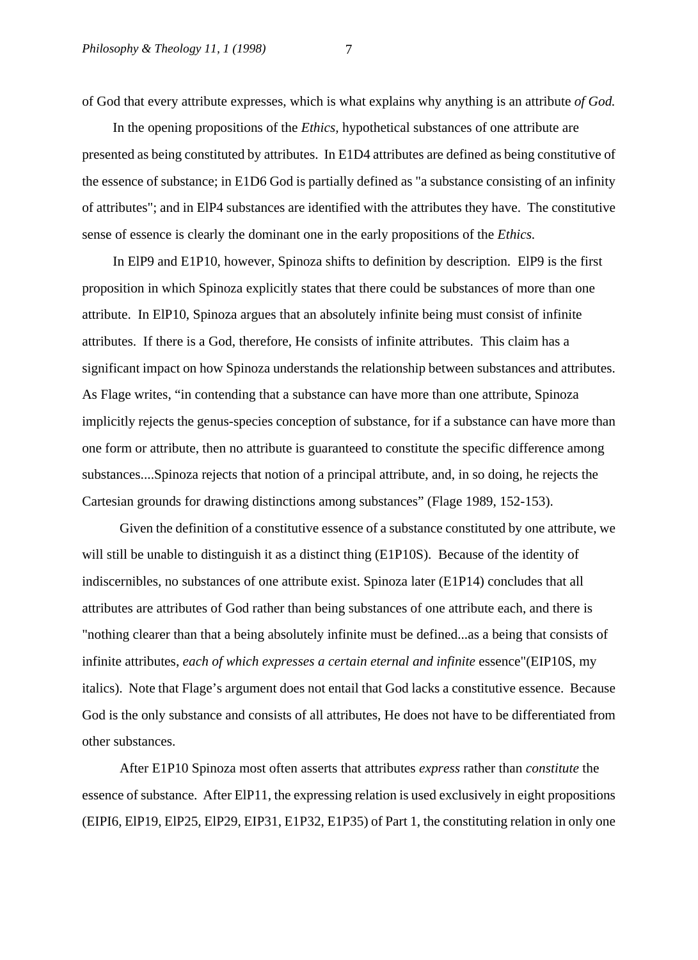of God that every attribute expresses, which is what explains why anything is an attribute *of God.* 

In the opening propositions of the *Ethics*, hypothetical substances of one attribute are presented as being constituted by attributes. In E1D4 attributes are defined as being constitutive of the essence of substance; in E1D6 God is partially defined as "a substance consisting of an infinity of attributes"; and in ElP4 substances are identified with the attributes they have. The constitutive sense of essence is clearly the dominant one in the early propositions of the *Ethics.* 

In ElP9 and E1P10, however, Spinoza shifts to definition by description. ElP9 is the first proposition in which Spinoza explicitly states that there could be substances of more than one attribute. In ElP10, Spinoza argues that an absolutely infinite being must consist of infinite attributes. If there is a God, therefore, He consists of infinite attributes. This claim has a significant impact on how Spinoza understands the relationship between substances and attributes. As Flage writes, "in contending that a substance can have more than one attribute, Spinoza implicitly rejects the genus-species conception of substance, for if a substance can have more than one form or attribute, then no attribute is guaranteed to constitute the specific difference among substances....Spinoza rejects that notion of a principal attribute, and, in so doing, he rejects the Cartesian grounds for drawing distinctions among substances" (Flage 1989, 152-153).

 Given the definition of a constitutive essence of a substance constituted by one attribute, we will still be unable to distinguish it as a distinct thing (E1P10S). Because of the identity of indiscernibles, no substances of one attribute exist. Spinoza later (E1P14) concludes that all attributes are attributes of God rather than being substances of one attribute each, and there is "nothing clearer than that a being absolutely infinite must be defined...as a being that consists of infinite attributes, *each of which expresses a certain eternal and infinite* essence"(EIP10S, my italics). Note that Flage's argument does not entail that God lacks a constitutive essence. Because God is the only substance and consists of all attributes, He does not have to be differentiated from other substances.

 After E1P10 Spinoza most often asserts that attributes *express* rather than *constitute* the essence of substance. After ElP11, the expressing relation is used exclusively in eight propositions (EIPI6, ElP19, ElP25, ElP29, EIP31, E1P32, E1P35) of Part 1, the constituting relation in only one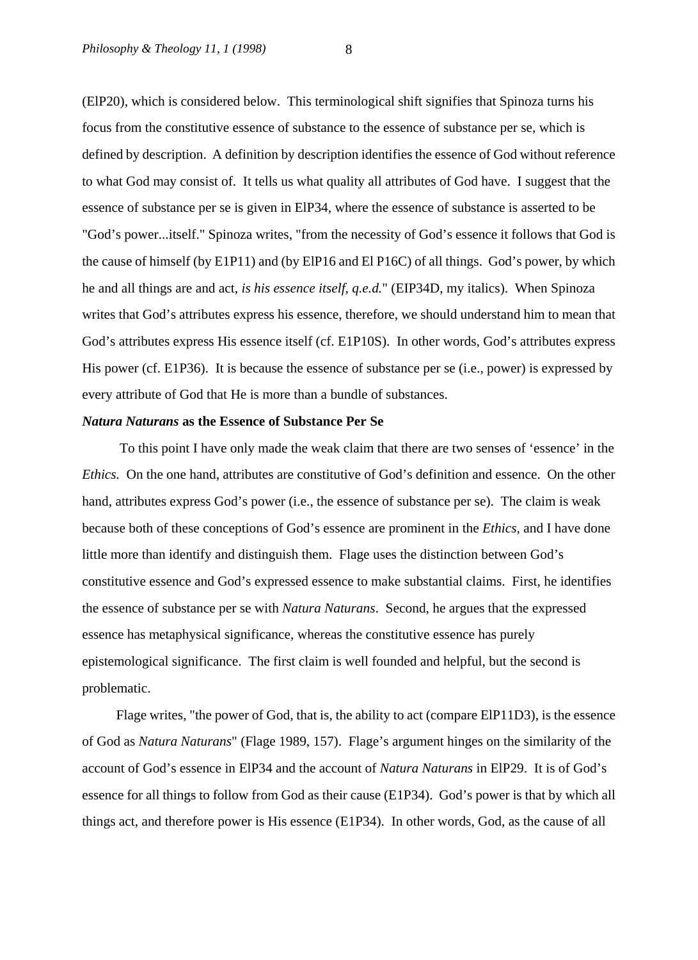(ElP20), which is considered below. This terminological shift signifies that Spinoza turns his focus from the constitutive essence of substance to the essence of substance per se, which is defined by description. A definition by description identifies the essence of God without reference to what God may consist of. It tells us what quality all attributes of God have. I suggest that the essence of substance per se is given in ElP34, where the essence of substance is asserted to be "God's power...itself." Spinoza writes, "from the necessity of God's essence it follows that God is the cause of himself (by E1P11) and (by ElP16 and El P16C) of all things. God's power, by which he and all things are and act, *is his essence itself, q.e.d.*" (EIP34D, my italics). When Spinoza writes that God's attributes express his essence, therefore, we should understand him to mean that God's attributes express His essence itself (cf. E1P10S). In other words, God's attributes express His power (cf. E1P36). It is because the essence of substance per se (i.e., power) is expressed by every attribute of God that He is more than a bundle of substances.

#### *Natura Naturans* **as the Essence of Substance Per Se**

To this point I have only made the weak claim that there are two senses of 'essence' in the *Ethics.* On the one hand, attributes are constitutive of God's definition and essence. On the other hand, attributes express God's power (i.e., the essence of substance per se). The claim is weak because both of these conceptions of God's essence are prominent in the *Ethics,* and I have done little more than identify and distinguish them. Flage uses the distinction between God's constitutive essence and God's expressed essence to make substantial claims. First, he identifies the essence of substance per se with *Natura Naturans*. Second, he argues that the expressed essence has metaphysical significance, whereas the constitutive essence has purely epistemological significance. The first claim is well founded and helpful, but the second is problematic.

 Flage writes, "the power of God, that is, the ability to act (compare ElP11D3), is the essence of God as *Natura Naturans*" (Flage 1989, 157). Flage's argument hinges on the similarity of the account of God's essence in ElP34 and the account of *Natura Naturans* in ElP29. It is of God's essence for all things to follow from God as their cause (E1P34). God's power is that by which all things act, and therefore power is His essence (E1P34). In other words, God, as the cause of all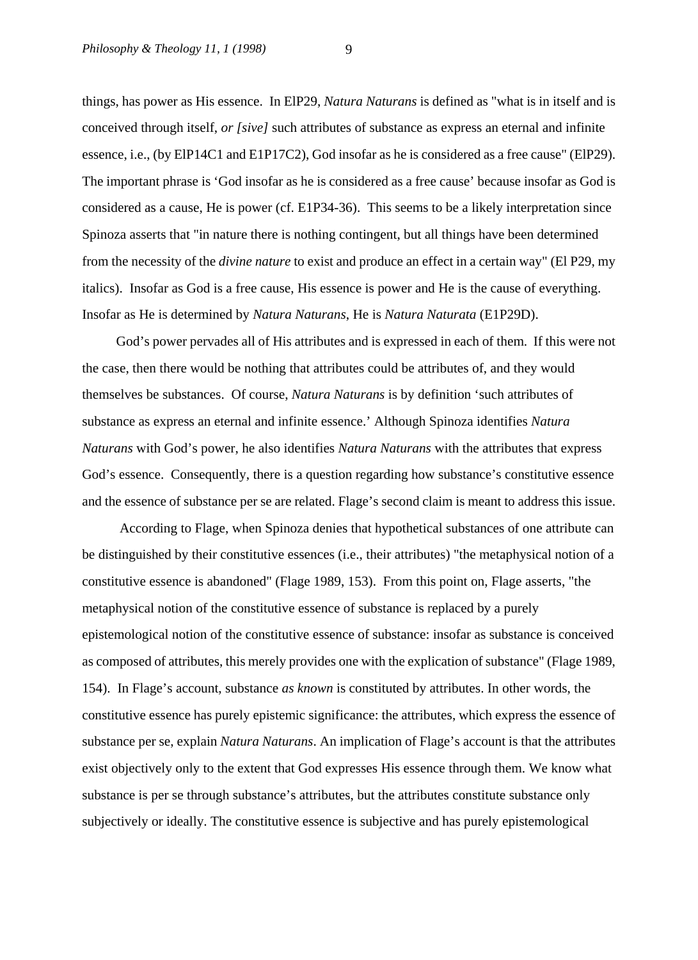things, has power as His essence. In ElP29, *Natura Naturans* is defined as "what is in itself and is conceived through itself, *or [sive]* such attributes of substance as express an eternal and infinite essence, i.e., (by ElP14C1 and E1P17C2), God insofar as he is considered as a free cause" (ElP29). The important phrase is 'God insofar as he is considered as a free cause' because insofar as God is considered as a cause, He is power (cf. E1P34-36). This seems to be a likely interpretation since Spinoza asserts that "in nature there is nothing contingent, but all things have been determined from the necessity of the *divine nature* to exist and produce an effect in a certain way" (El P29, my italics). Insofar as God is a free cause, His essence is power and He is the cause of everything. Insofar as He is determined by *Natura Naturans*, He is *Natura Naturata* (E1P29D).

 God's power pervades all of His attributes and is expressed in each of them. If this were not the case, then there would be nothing that attributes could be attributes of, and they would themselves be substances. Of course, *Natura Naturans* is by definition 'such attributes of substance as express an eternal and infinite essence.' Although Spinoza identifies *Natura Naturans* with God's power, he also identifies *Natura Naturans* with the attributes that express God's essence. Consequently, there is a question regarding how substance's constitutive essence and the essence of substance per se are related. Flage's second claim is meant to address this issue.

 According to Flage, when Spinoza denies that hypothetical substances of one attribute can be distinguished by their constitutive essences (i.e., their attributes) "the metaphysical notion of a constitutive essence is abandoned" (Flage 1989, 153). From this point on, Flage asserts, "the metaphysical notion of the constitutive essence of substance is replaced by a purely epistemological notion of the constitutive essence of substance: insofar as substance is conceived as composed of attributes, this merely provides one with the explication of substance" (Flage 1989, 154). In Flage's account, substance *as known* is constituted by attributes. In other words, the constitutive essence has purely epistemic significance: the attributes, which express the essence of substance per se, explain *Natura Naturans*. An implication of Flage's account is that the attributes exist objectively only to the extent that God expresses His essence through them. We know what substance is per se through substance's attributes, but the attributes constitute substance only subjectively or ideally. The constitutive essence is subjective and has purely epistemological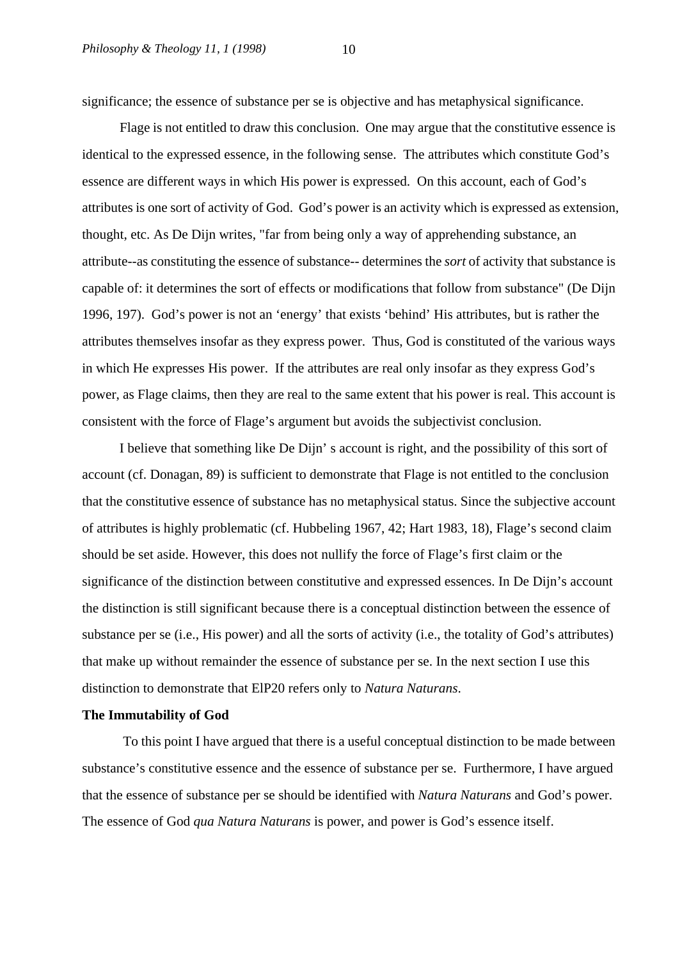significance; the essence of substance per se is objective and has metaphysical significance.

 Flage is not entitled to draw this conclusion. One may argue that the constitutive essence is identical to the expressed essence, in the following sense. The attributes which constitute God's essence are different ways in which His power is expressed. On this account, each of God's attributes is one sort of activity of God. God's power is an activity which is expressed as extension, thought, etc. As De Dijn writes, "far from being only a way of apprehending substance, an attribute--as constituting the essence of substance-- determines the *sort* of activity that substance is capable of: it determines the sort of effects or modifications that follow from substance" (De Dijn 1996, 197). God's power is not an 'energy' that exists 'behind' His attributes, but is rather the attributes themselves insofar as they express power. Thus, God is constituted of the various ways in which He expresses His power. If the attributes are real only insofar as they express God's power, as Flage claims, then they are real to the same extent that his power is real. This account is consistent with the force of Flage's argument but avoids the subjectivist conclusion.

 I believe that something like De Dijn' s account is right, and the possibility of this sort of account (cf. Donagan, 89) is sufficient to demonstrate that Flage is not entitled to the conclusion that the constitutive essence of substance has no metaphysical status. Since the subjective account of attributes is highly problematic (cf. Hubbeling 1967, 42; Hart 1983, 18), Flage's second claim should be set aside. However, this does not nullify the force of Flage's first claim or the significance of the distinction between constitutive and expressed essences. In De Dijn's account the distinction is still significant because there is a conceptual distinction between the essence of substance per se (i.e., His power) and all the sorts of activity (i.e., the totality of God's attributes) that make up without remainder the essence of substance per se. In the next section I use this distinction to demonstrate that ElP20 refers only to *Natura Naturans*.

#### **The Immutability of God**

To this point I have argued that there is a useful conceptual distinction to be made between substance's constitutive essence and the essence of substance per se. Furthermore, I have argued that the essence of substance per se should be identified with *Natura Naturans* and God's power. The essence of God *qua Natura Naturans* is power, and power is God's essence itself.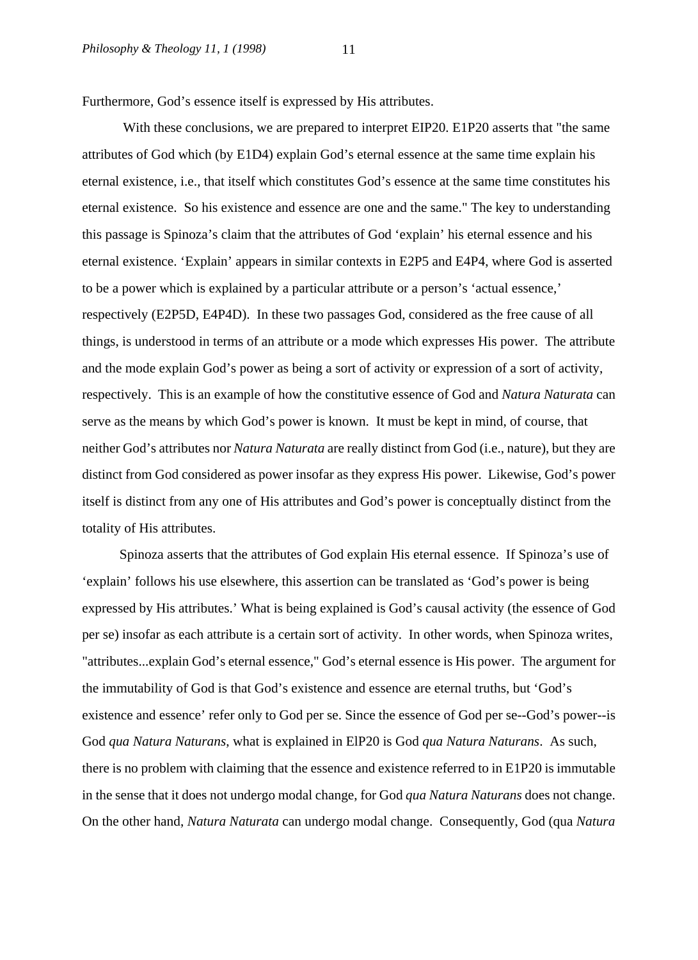Furthermore, God's essence itself is expressed by His attributes.

 With these conclusions, we are prepared to interpret EIP20. E1P20 asserts that "the same attributes of God which (by E1D4) explain God's eternal essence at the same time explain his eternal existence, i.e., that itself which constitutes God's essence at the same time constitutes his eternal existence. So his existence and essence are one and the same." The key to understanding this passage is Spinoza's claim that the attributes of God 'explain' his eternal essence and his eternal existence. 'Explain' appears in similar contexts in E2P5 and E4P4, where God is asserted to be a power which is explained by a particular attribute or a person's 'actual essence,' respectively (E2P5D, E4P4D). In these two passages God, considered as the free cause of all things, is understood in terms of an attribute or a mode which expresses His power. The attribute and the mode explain God's power as being a sort of activity or expression of a sort of activity, respectively. This is an example of how the constitutive essence of God and *Natura Naturata* can serve as the means by which God's power is known. It must be kept in mind, of course, that neither God's attributes nor *Natura Naturata* are really distinct from God (i.e., nature), but they are distinct from God considered as power insofar as they express His power. Likewise, God's power itself is distinct from any one of His attributes and God's power is conceptually distinct from the totality of His attributes.

 Spinoza asserts that the attributes of God explain His eternal essence. If Spinoza's use of 'explain' follows his use elsewhere, this assertion can be translated as 'God's power is being expressed by His attributes.' What is being explained is God's causal activity (the essence of God per se) insofar as each attribute is a certain sort of activity. In other words, when Spinoza writes, "attributes...explain God's eternal essence," God's eternal essence is His power. The argument for the immutability of God is that God's existence and essence are eternal truths, but 'God's existence and essence' refer only to God per se. Since the essence of God per se--God's power--is God *qua Natura Naturans*, what is explained in ElP20 is God *qua Natura Naturans*. As such, there is no problem with claiming that the essence and existence referred to in E1P20 is immutable in the sense that it does not undergo modal change, for God *qua Natura Naturans* does not change. On the other hand, *Natura Naturata* can undergo modal change. Consequently, God (qua *Natura*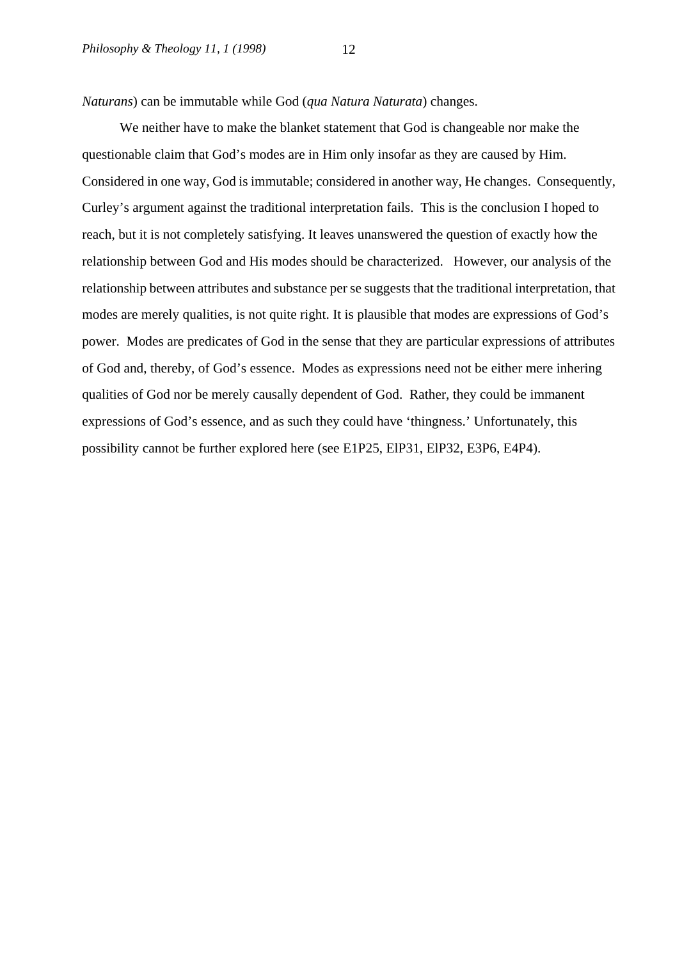*Naturans*) can be immutable while God (*qua Natura Naturata*) changes.

 We neither have to make the blanket statement that God is changeable nor make the questionable claim that God's modes are in Him only insofar as they are caused by Him. Considered in one way, God is immutable; considered in another way, He changes. Consequently, Curley's argument against the traditional interpretation fails. This is the conclusion I hoped to reach, but it is not completely satisfying. It leaves unanswered the question of exactly how the relationship between God and His modes should be characterized. However, our analysis of the relationship between attributes and substance per se suggests that the traditional interpretation, that modes are merely qualities, is not quite right. It is plausible that modes are expressions of God's power. Modes are predicates of God in the sense that they are particular expressions of attributes of God and, thereby, of God's essence. Modes as expressions need not be either mere inhering qualities of God nor be merely causally dependent of God. Rather, they could be immanent expressions of God's essence, and as such they could have 'thingness.' Unfortunately, this possibility cannot be further explored here (see E1P25, ElP31, ElP32, E3P6, E4P4).